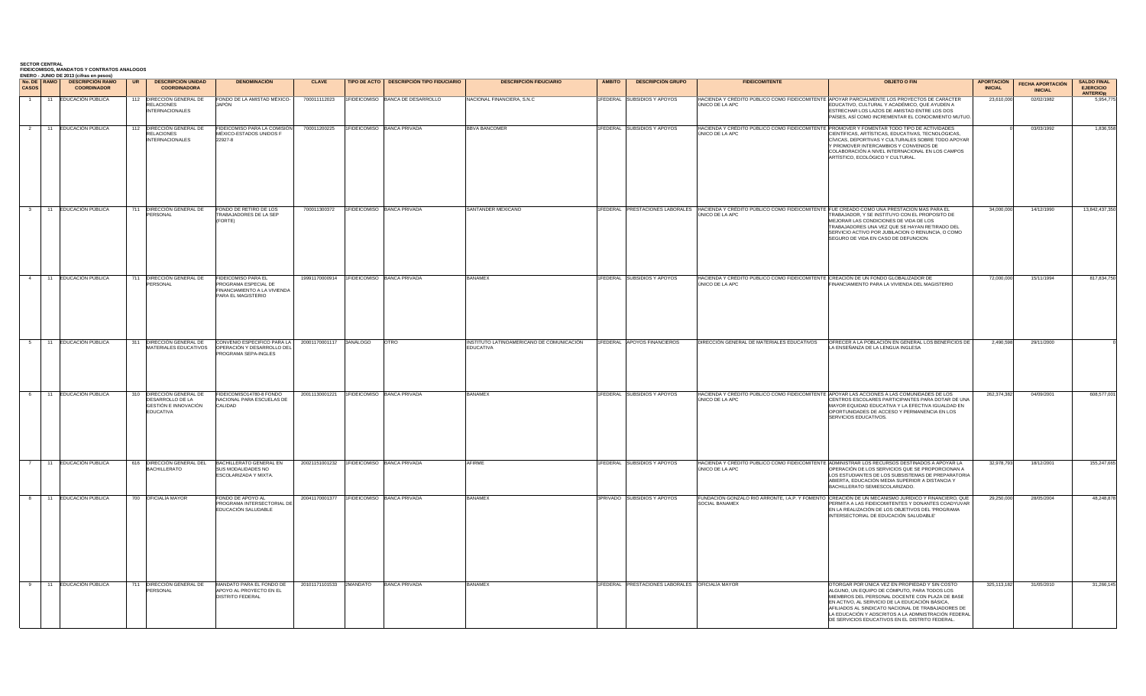|  | <b>SECTOR CENTRAL</b> | <b>FIDEICOMISOS, MANDATOS Y CONTRATOS ANALOGOS</b> |           |
|--|-----------------------|----------------------------------------------------|-----------|
|  |                       | ENERO - JUNIO DE 2013 (cifras en pesos)            |           |
|  | No. DE RAMO           | <b>DESCRIPCIÓN RAMO</b>                            | <b>UR</b> |

| CASOS          | No. DE RAMO<br><b>DESCRIPCIÓN RAMO</b><br><b>COORDINADOR</b> | <b>DESCRIPCIÓN UNIDAD</b><br><b>COORDINADORA</b>                                         | <b>DENOMINACIÓN</b>                                                                                     | <b>CLAVE</b>            |                                           | TIPO DE ACTO   DESCRIPCIÓN TIPO FIDUCIARIO | <b>DESCRIPCIÓN FIDUCIARIO</b>                          | <b>ÁMBITO</b> | <b>DESCRIPCIÓN GRUPO</b>                               | <b>FIDEICOMITENTE</b>                                                                                                                        | <b>OBJETO O FIN</b>                                                                                                                                                                                                                                                                                                                                                 | <b>APORTACIÓN</b><br><b>INICIAL</b> | <b>FECHA APORTACIÓN</b><br><b>INICIAL</b> | <b>SALDO FINAL</b><br><b>EJERCICIO</b><br><b>ANTERIOR</b> |
|----------------|--------------------------------------------------------------|------------------------------------------------------------------------------------------|---------------------------------------------------------------------------------------------------------|-------------------------|-------------------------------------------|--------------------------------------------|--------------------------------------------------------|---------------|--------------------------------------------------------|----------------------------------------------------------------------------------------------------------------------------------------------|---------------------------------------------------------------------------------------------------------------------------------------------------------------------------------------------------------------------------------------------------------------------------------------------------------------------------------------------------------------------|-------------------------------------|-------------------------------------------|-----------------------------------------------------------|
|                | 11 EDUCACIÓN PÚBLICA                                         | DIRECCIÓN GENERAL DE<br>112<br><b>RELACIONES</b><br><b>INTERNACIONALES</b>               | FONDO DE LA AMISTAD MÉXICO-<br>IAPÓN                                                                    | 700011112023            |                                           | IFIDEICOMISO BANCA DE DESARROLLO           | <b>NACIONAL FINANCIERA, S.N.C.</b>                     |               | FEDERAL SUBSIDIOS Y APOYOS                             | ÚNICO DE LA APC                                                                                                                              | HACIENDA Y CRÉDITO PÚBLICO COMO FIDEICOMITENTE APOYAR PARCIALMENTE LOS PROYECTOS DE CARÁCTER<br>EDUCATIVO, CULTURAL Y ACADÉMICO, QUE AYUDEN A<br>ESTRECHAR LOS LAZOS DE AMISTAD ENTRE LOS DOS<br>PAÍSES, ASÍ COMO INCREMENTAR EL CONOCIMIENTO MUTUO.                                                                                                                | 23,610,000                          | 02/02/1982                                | 5.954.775                                                 |
| 2              | 11 EDUCACIÓN PÚBLICA                                         | 112 DIRECCIÓN GENERAL DE<br><b>RELACIONES</b><br><b>INTERNACIONALES</b>                  | FIDEICOMISO PARA LA COMISIÓN<br>MÉXICO-ESTADOS UNIDOS F<br>22927-8                                      | 700011200225            |                                           | 1FIDEICOMISO BANCA PRIVADA                 | <b>BBVA BANCOMER</b>                                   |               | FEDERAL SUBSIDIOS Y APOYOS                             | ÚNICO DE LA APC                                                                                                                              | HACIENDA Y CRÉDITO PÚBLICO COMO FIDEICOMITENTE PROMOVER Y FOMENTAR TODO TIPO DE ACTIVIDADES<br>CIENTÍFICAS, ARTÍSTICAS, EDUCATIVAS, TECNOLÓGICAS,<br>CÍVICAS, DEPORTIVAS Y CULTURALES SOBRE TODO APOYAR<br>Y PROMOVER INTERCAMBIOS Y CONVENIOS DE<br>COLABORACIÓN A NIVEL INTERNACIONAL EN LOS CAMPOS<br>ARTÍSTICO, ECOLÓGICO Y CULTURAL.                           |                                     | 03/03/1992                                | 1,836,558                                                 |
| $\mathbf{3}$   | 11 EDUCACIÓN PÚBLICA                                         | DIRECCIÓN GENERAL DE<br>711<br>PERSONAL                                                  | FONDO DE RETIRO DE LOS<br><b>TRABAJADORES DE LA SEP</b><br>FORTE)                                       | 700011300372            | 1FIDEICOMISO BANCA PRIVADA                |                                            | SANTANDER MEXICANO                                     |               |                                                        | IFEDERAL PRESTACIONES LABORALES HACIENDA Y CRÉDITO PÚBLICO COMO FIDEICOMITENTE FUE CREADO COMO UNA PRESTACION MAS PARA EL<br>JNICO DE LA APC | RABAJADOR, Y SE INSTITUYO CON EL PROPOSITO DE<br>MEJORAR LAS CONDICIONES DE VIDA DE LOS<br>TRABAJADORES UNA VEZ QUE SE HAYAN RETIRADO DEL<br>SERVICIO ACTIVO POR JUBILACION O RENUNCIA, O COMO<br>SEGURO DE VIDA EN CASO DE DEFUNCION.                                                                                                                              | 34,000,000                          | 14/12/1990                                | 13,842,437,350                                            |
|                | 11 EDUCACIÓN PÚBLICA                                         | 711 DIRECCIÓN GENERAL DE<br>PERSONAL                                                     | FIDEICOMISO PARA EL<br>PROGRAMA ESPECIAL DE<br>INANCIAMIENTO A LA VIVIENDA<br>ARA EL MAGISTERIO         |                         | 19991170000914 1FIDEICOMISO BANCA PRIVADA |                                            | <b>BANAMEX</b>                                         |               | FEDERAL SUBSIDIOS Y APOYOS                             | HACIENDA Y CRÉDITO PÚBLICO COMO FIDEICOMITENTE CREACIÓN DE UN FONDO GLOBALIZADOR DE<br>ÚNICO DE LA APC                                       | FINANCIAMIENTO PARA LA VIVIENDA DEL MAGISTERIO                                                                                                                                                                                                                                                                                                                      | 72,000,000                          | 15/11/1994                                | 817,834,750                                               |
|                | 11 EDUCACIÓN PÚBLICA                                         | <b>DIRECCIÓN GENERAL DE</b><br>311<br>MATERIALES EDUCATIVOS                              | CONVENIO ESPECIFICO PARA LA 20001170001117<br>OPERACIÓN Y DESARROLLO DEL<br><b>PROGRAMA SEPA-INGLES</b> |                         | 3ANÁLOGO                                  | OTRO                                       | INSTITUTO LATINOAMERICANO DE COMUNICACIÓN<br>EDUCATIVA |               | 1FEDERAL APOYOS FINANCIEROS                            | DIRECCIÓN GENERAL DE MATERIALES EDUCATIVOS                                                                                                   | OFRECER A LA POBLACIÓN EN GENERAL LOS BENEFICIOS DE<br>A ENSEÑANZA DE LA LENGUA INGLESA                                                                                                                                                                                                                                                                             | 2,490,598                           | 29/11/2000                                |                                                           |
|                | 11 EDUCACIÓN PÚBLICA                                         | 310 DIRECCIÓN GENERAL DE<br>DESARROLLO DE LA<br>GESTIÓN E INNOVACIÓN<br><b>EDUCATIVA</b> | FIDEICOMISO14780-8 FONDO<br>NACIONAL PARA ESCUELAS DE<br>CALIDAD                                        |                         | 20011130001221 1FIDEICOMISO BANCA PRIVADA |                                            | <b>BANAMEX</b>                                         |               | FEDERAL SUBSIDIOS Y APOYOS                             | ÚNICO DE LA APC                                                                                                                              | HACIENDA Y CRÉDITO PÚBLICO COMO FIDEICOMITENTE APOYAR LAS ACCIONES A LAS COMUNIDADES DE LOS<br>CENTROS ESCOLARES PARTICIPANTES PARA DOTAR DE UNA<br>MAYOR EQUIDAD EDUCATIVA Y LA EFECTIVA IGUALDAD EN<br>OPORTUNIDADES DE ACCESO Y PERMANENCIA EN LOS<br>SERVICIOS EDUCATIVOS.                                                                                      | 262,374,382                         | 04/09/2001                                | 608,577,001                                               |
| $\overline{7}$ | 11 EDUCACIÓN PÚBLICA                                         | 616 DIRECCIÓN GENERAL DEL<br><b>BACHILLERATO</b>                                         | BACHILLERATO GENERAL EN<br>SUS MODALIDADES NO<br>SCOLARIZADA Y MIXTA.                                   |                         | 20021151001232 1FIDEICOMISO BANCA PRIVADA |                                            | AFIRME                                                 |               | FEDERAL SUBSIDIOS Y APOYOS                             | ÚNICO DE LA APC                                                                                                                              | HACIENDA Y CRÉDITO PÚBLICO COMO FIDEICOMITENTE ADMINISTRAR LOS RECURSOS DESTINADOS A APOYAR LA<br>OPERACIÓN DE LOS SERVICIOS QUE SE PROPORCIONAN A<br>LOS ESTUDIANTES DE LOS SUBSISTEMAS DE PREPARATORIA<br>ABIERTA, EDUCACIÓN MEDIA SUPERIOR A DISTANCIA Y<br>BACHILLERATO SEMIESCOLARIZADO.                                                                       | 32,978,793                          | 18/12/2001                                | 155,247,665                                               |
|                | 11 EDUCACIÓN PÚBLICA                                         | 700 OFICIALÍA MAYOR                                                                      | ONDO DE APOYO AL<br>PROGRAMA INTERSECTORIAL DE<br>EDUCACIÓN SALUDABLE                                   | 20041170001377          | 1FIDEICOMISO BANCA PRIVADA                |                                            | 3ANAMEX                                                |               | PRIVADO SUBSIDIOS Y APOYOS                             | SOCIAL BANAMEX                                                                                                                               | FUNDACIÓN GONZALO RIÓ ARRONTE, I.A.P. Y FOMENTO CREACIÓN DE UN MECANISMO JURÍDICO Y FINANCIERO, QUE<br>PERMITA A LAS FIDEICOMITENTES Y DONANTES COADYUVAR<br>EN LA REALIZACIÓN DE LOS OBJETIVOS DEL 'PROGRAMA<br>INTERSECTORIAL DE EDUCACIÓN SALUDABLE                                                                                                              | 29,250,000                          | 28/05/2004                                | 48,248,878                                                |
|                | 11 EDUCACIÓN PÚBLICA                                         | 711 DIRECCIÓN GENERAL DE<br>PERSONAL                                                     | MANDATO PARA EL FONDO DE<br>APOYO AL PROYECTO EN EL<br><b>DISTRITO FEDERAL</b>                          | 20101171101533 2MANDATO |                                           | <b>BANCA PRIVADA</b>                       | BANAMEX                                                |               | <b>IFEDERAL PRESTACIONES LABORALES OFICIALÍA MAYOR</b> |                                                                                                                                              | OTORGAR POR ÚNICA VEZ EN PROPIEDAD Y SIN COSTO<br>ALGUNO, UN EQUIPO DE CÓMPUTO, PARA TODOS LOS<br>MIEMBROS DEL PERSONAL DOCENTE CON PLAZA DE BASE<br>EN ACTIVO, AL SERVICIO DE LA EDUCACIÓN BÁSICA,<br>AFILIADOS AL SINDICATO NACIONAL DE TRABAJADORES DE<br>LA EDUCACIÓN Y ADSCRITOS A LA ADMNISTRACIÓN FEDERAL<br>DE SERVICIOS EDUCATIVOS EN EL DISTRITO FEDERAL. | 325.113.182                         | 31/05/2010                                | 31,266,145                                                |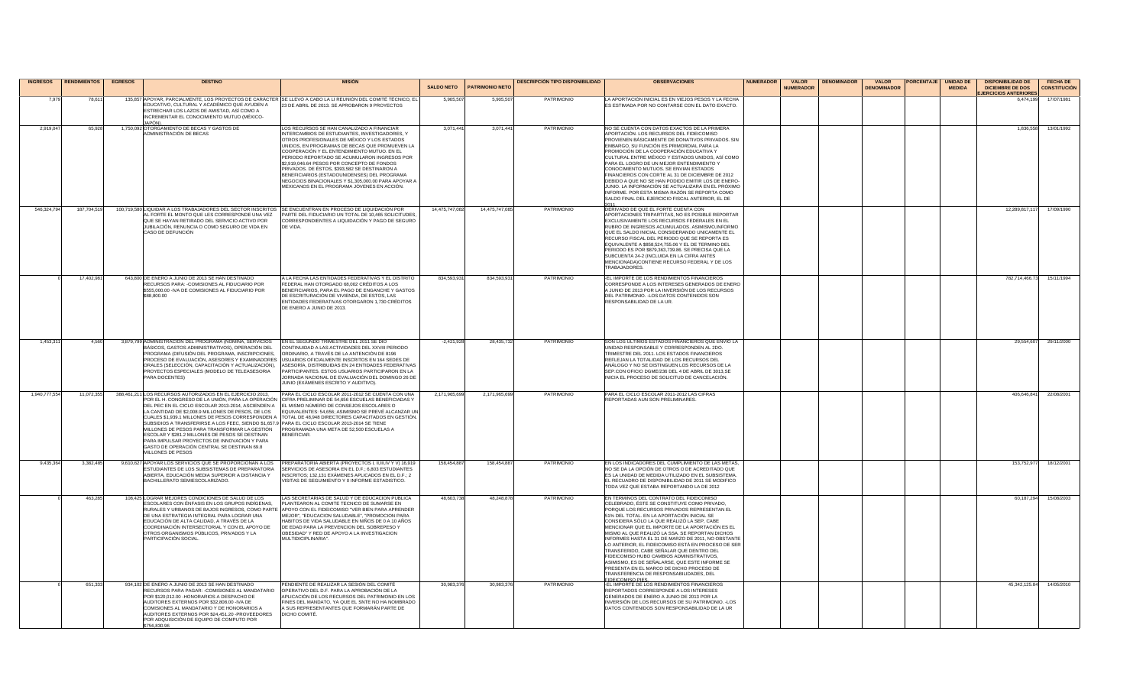| <b>INGRESOS</b> | <b>RENDIMIENTOS</b> | <b>EGRESOS</b> | <b>DESTINO</b>                                                                                                                                                                                                                                                                                                                                                                                                                                                                                                                           |                                                                                                                                                                                                                                                                                                                                                                                                                                                                                                       | <b>SALDO NETO</b> | <b>PATRIMONIO NETO</b> | <b>DESCRIPCIÓN TIPO DISPONIBILIDAD</b> | <b>OBSERVACIONES</b>                                                                                                                                                                                                                                                                                                                                                                                                                                                                                                                                                                                                                                                                   | <b>NUMERADOR</b> | <b>VALOR</b><br><b>NUMERADOR</b> | <b>DENOMINADOR</b> | <b>VALOR</b><br><b>DENOMINADOR</b> | <b>PORCENTAJE</b> | <b>UNIDAD DE</b><br><b>MEDIDA</b> | <b>DISPONIBILIDAD DE</b><br><b>DICIEMBRE DE DOS</b> | <b>FECHA DE</b><br><b>CONSTITUCIÓN</b> |
|-----------------|---------------------|----------------|------------------------------------------------------------------------------------------------------------------------------------------------------------------------------------------------------------------------------------------------------------------------------------------------------------------------------------------------------------------------------------------------------------------------------------------------------------------------------------------------------------------------------------------|-------------------------------------------------------------------------------------------------------------------------------------------------------------------------------------------------------------------------------------------------------------------------------------------------------------------------------------------------------------------------------------------------------------------------------------------------------------------------------------------------------|-------------------|------------------------|----------------------------------------|----------------------------------------------------------------------------------------------------------------------------------------------------------------------------------------------------------------------------------------------------------------------------------------------------------------------------------------------------------------------------------------------------------------------------------------------------------------------------------------------------------------------------------------------------------------------------------------------------------------------------------------------------------------------------------------|------------------|----------------------------------|--------------------|------------------------------------|-------------------|-----------------------------------|-----------------------------------------------------|----------------------------------------|
| 7.979           | 78,611              |                | EDUCATIVO, CULTURAL Y ACADÉMICO QUE AYUDEN A<br>ESTRECHAR LOS LAZOS DE AMISTAD, ASÍ COMO A                                                                                                                                                                                                                                                                                                                                                                                                                                               | 135,857 APOYAR, PARCIALMENTE, LOS PROYECTOS DE CARÁCTER SE LLEVÓ A CABO LA LI REUNIÓN DEL COMITÉ TÉCNICO, EL<br>23 DE ABRIL DE 2013. SE APROBARON 9 PROYECTOS                                                                                                                                                                                                                                                                                                                                         | 5.905.50          | 5,905.50               | PATRIMONIO                             | LA APORTACIÓN INICIAL ES EN VIEJOS PESOS Y LA FECHA<br>ES ESTIMADA POR NO CONTARSE CON EL DATO EXACTO.                                                                                                                                                                                                                                                                                                                                                                                                                                                                                                                                                                                 |                  |                                  |                    |                                    |                   |                                   | <b>JERCICIOS ANTERIORES</b><br>6.474.199            | 17/07/1981                             |
| 2.919.04        | 65.928              |                | INCREMENTAR EL CONOCIMIENTO MUTUO (MÉXICO-<br>1,750,092 OTORGAMIENTO DE BECAS Y GASTOS DE                                                                                                                                                                                                                                                                                                                                                                                                                                                | LOS RECURSOS SE HAN CANALIZADO A FINANCIAR                                                                                                                                                                                                                                                                                                                                                                                                                                                            | 3,071,44          | 3,071,441              | PATRIMONIO                             | NO SE CUENTA CON DATOS EXACTOS DE LA PRIMERA                                                                                                                                                                                                                                                                                                                                                                                                                                                                                                                                                                                                                                           |                  |                                  |                    |                                    |                   |                                   | 1.836.558                                           | 13/01/1992                             |
|                 |                     |                | ADMINISTRACIÓN DE BECAS                                                                                                                                                                                                                                                                                                                                                                                                                                                                                                                  | INTERCAMBIOS DE ESTUDIANTES, INVESTIGADORES, Y<br>OTROS PROFESIONALES DE MÉXICO Y LOS ESTADOS<br>UNIDOS. EN PROGRAMAS DE BECAS QUE PROMUEVEN LA<br>COOPERACIÓN Y EL ENTENDIMIENTO MUTUO. EN EL<br>PERIODO REPORTADO SE ACUMULARON INGRESOS POR<br>\$2,919,046,64 PESOS POR CONCEPTO DE FONDOS<br>PRIVADOS. DE ÉSTOS, \$393,582 SE DESTINARON A<br>BENEFICIARIOS (ESTADOUNIDENSES) DEL PROGRAMA<br>NEGOCIOS BINACIONALES Y \$1,305,000.00 PARA APOYAR A<br>MEXICANOS EN EL PROGRAMA JÓVENES EN ACCIÓN. |                   |                        |                                        | APORTACIÓN. LOS RECURSOS DEL EIDEICOMISO<br>PROVIENEN BÁSICAMENTE DE DONATIVOS PRIVADOS. SIN<br>EMBARGO. SU FUNCIÓN ES PRIMORDIAL PARA LA<br>PROMOCIÓN DE LA COOPERACIÓN EDUCATIVA Y<br>CULTURAL ENTRE MÉXICO Y ESTADOS UNIDOS, ASÍ COMO<br>PARA EL LOGRO DE UN MEJOR ENTENDIMIENTO Y<br>CONOCIMIENTO MUTUOS. SE ENVIAN ESTADOS<br>FINANCIEROS CON CORTE AL 31 DE DICIEMBRE DE 2012<br>DEBIDO A QUE NO SE HAN PODIDO EMITIR LOS DE ENERO-<br>JUNIO. LA INFORMACIÓN SE ACTUALIZARÁ EN EL PRÓXIMO<br>INFORME. POR ESTA MISMA RAZÓN SE REPORTA COMO<br>SALDO FINAL DEL EJERCICIO FISCAL ANTERIOR, EL DE                                                                                   |                  |                                  |                    |                                    |                   |                                   |                                                     |                                        |
| 546.324.794     | 187,704,519         |                | 100,719,580 LIQUIDAR A LOS TRABAJADORES DEL SECTOR INSCRITOS SE ENCUENTRAN EN PROCESO DE LIQUIDACIÓN POR<br>AL FORTE EL MONTO QUE LES CORRESPONDE UNA VEZ<br>QUE SE HAYAN RETIRADO DEL SERVICIO ACTIVO POR<br>JUBILACIÓN, RENUNCIA O COMO SEGURO DE VIDA EN<br>CASO DE DEFUNCIÓN                                                                                                                                                                                                                                                         | PARTE DEL FIDUCIARIO UN TOTAL DE 10,465 SOLICITUDES.<br>CORRESPONDIENTES A LIQUIDACIÓN Y PAGO DE SEGURO<br>DE VIDA.                                                                                                                                                                                                                                                                                                                                                                                   | 14,475,747,082    | 14,475,747,085         | PATRIMONIO                             | DERIVADO DE QUE EL FORTE CUENTA CON<br>APORTACIONES TRIPARTITAS, NO ES POSIBLE REPORTAR<br>EXCLUSIVAMENTE LOS RECURSOS FEDERALES EN EL<br>RUBRO DE INGRESOS ACUMULADOS. ASIMISMO, INFORMO<br>QUE EL SALDO INICIAL CONSIDERANDO UNICAMENTE EL<br>RECURSO FISCAL DEL PERIODO QUE SE REPORTA ES<br>EQUIVALENTE A \$858,524,755.06 Y EL DE TERMINO DEL<br>PERIODO ES POR \$879.363.739.86. SE PRECISA QUE LA<br>SUBCUENTA 24-2 (INCLUIDA EN LA CIFRA ANTES<br>MENCIONADA)CONTIENE RECURSO FEDERAL Y DE LOS<br><b>TRABAJADORES.</b>                                                                                                                                                         |                  |                                  |                    |                                    |                   |                                   | 12,289,817,117                                      | 17/09/1990                             |
|                 | 17.402.98           |                | 643,800 DE ENERO A JUNIO DE 2013 SE HAN DESTINADO<br>RECURSOS PARA: - COMISIONES AL FIDUCIARIO POR<br>\$555,000.00 - IVA DE COMISIONES AL FIDUCIARIO POR<br>\$88,800.00                                                                                                                                                                                                                                                                                                                                                                  | A LA FECHA LAS ENTIDADES FEDERATIVAS Y EL DISTRITO<br>FEDERAL HAN OTORGADO 68,002 CRÉDITOS A LOS<br>BENEFICIARIOS, PARA EL PAGO DE ENGANCHE Y GASTOS<br>DE ESCRITURACIÓN DE VIVIENDA, DE ESTOS, LAS<br>ENTIDADES FEDERATIVAS OTORGARON 1,730 CRÉDITOS<br>DE ENERO A JUNIO DE 2013.                                                                                                                                                                                                                    | 834.593.93        | 834,593,931            | PATRIMONIO                             | EL IMPORTE DE LOS RENDIMIENTOS FINANCIEROS<br>CORRESPONDE A LOS INTERESES GENERADOS DE ENERO<br>JUNIO DE 2013 POR LA INVERSIÓN DE LOS RECURSOS<br>DEL PATRIMONIO. - LOS DATOS CONTENIDOS SON<br>RESPONSABILIDAD DE LA UR.                                                                                                                                                                                                                                                                                                                                                                                                                                                              |                  |                                  |                    |                                    |                   |                                   | 782,714,466.73                                      | 15/11/1994                             |
| 1.453.31        | 4.560               |                | 3,879,799 ADMINISTRACIÓN DEL PROGRAMA (NÓMINA, SERVICIOS<br>BÁSICOS, GASTOS ADMINISTRATIVOS), OPERACIÓN DEL<br>PROGRAMA (DIFUSIÓN DEL PROGRAMA, INSCRIPCIONES,<br>PROCESO DE EVALUACIÓN, ASESORES Y EXAMINADORES<br>ORALES (SELECCIÓN, CAPACITACIÓN Y ACTUALIZACIÓN),<br>PROYECTOS ESPECIALES (MODELO DE TELEASESORIA<br>PARA DOCENTES)                                                                                                                                                                                                  | EN EL SEGUNDO TRIMESTRE DEL 2011 SE DIÓ<br>CONTINUIDAD A LAS ACTIVIDADES DEL XXVIII PERIODO<br>ORDINARIO. A TRAVÉS DE LA ANTENCIÓN DE 8196<br>USUARIOS OFICIALMENTE INSCRITOS EN 164 SEDES DE<br>ASESORÍA, DISTRIBUIDAS EN 24 ENTIDADES FEDERATIVAS<br>PARTICIPANTES. ESTOS USUARIOS PARTICIPARON EN LA<br>JORNADA NACIONAL DE EVALUACIÓN DEL DOMINGO 26 DE<br>JUNIO (EXÁMENES ESCRITO Y AUDITIVO)                                                                                                    | $-2.421.928$      | 28.435.732             | PATRIMONIO                             | SON LOS ULTIMOS ESTADOS FINANCIEROS QUE ENVIÓ LA<br>UNIDAD RESPONSABLE Y CORRESPONDEN AL 2DO.<br>TRIMESTRE DEL 2011. LOS ESTADOS FINANCIEROS<br>REFLEJAN LA TOTALIDAD DE LOS RECURSOS DEL<br>ANÁLOGO Y NO SE DISTINGUEN LOS RECURSOS DE LA<br>SEP.CON OFICIO DGME/236 DEL 4 DE ABRIL DE 3013,SE<br>INICIA EL PROCESO DE SOLICITUD DE CANCELACIÓN.                                                                                                                                                                                                                                                                                                                                      |                  |                                  |                    |                                    |                   |                                   | 29.554.607                                          | 29/11/2000                             |
| 1,940,777,554   | 11.072.355          |                | 388,461,211 LOS RECURSOS AUTORIZADOS EN EL EJERCICIO 2013,<br>DEL PEC EN EL CICLO ESCOLAR 2013-2014, ASCIENDEN A EL MISMO NÚMERO DE CONSEJOS ESCOLARES O<br>LA CANTIDAD DE \$2,008.9 MILLONES DE PESOS, DE LOS<br>SUBSIDIOS A TRANSFERIRSE A LOS FEEC, SIENDO \$1,657.9 PARA EL CICLO ESCOLAR 2013-2014 SE TIENE<br>MILLONES DE PESOS PARA TRANSFORMAR LA GESTIÓN<br>ESCOLAR Y \$281.2 MILLONES DE PESOS SE DESTINAN<br>PARA IMPULSAR PROYECTOS DE INNOVACIÓN Y PARA<br>GASTO DE OPERACIÓN CENTRAL SE DESTINAN 69.8<br>MILLONES DE PESOS | PARA EL CICLO ESCOLAR 2011-2012 SE CUENTA CON UNA<br>POR EL H. CONGRESO DE LA UNIÓN, PARA LA OPERACIÓN CIFRA PRELIMINAR DE 54,656 ESCUELAS BENEFICIADAS Y<br>EQUIVALENTES: 54,656; ASIMISMO SE PREVÉ ALCANZAR UN<br>CUALES \$1,939.1 MILLONES DE PESOS CORRESPONDEN A TOTAL DE 48,948 DIRECTORES CAPACITADOS EN GESTIÓN.<br>PROGRAMADA UNA META DE 52,500 ESCUELAS A<br><b>BENEFICIAR</b>                                                                                                             | 2.171.965.699     | 2,171,965,699          | PATRIMONIO                             | PARA EL CICLO ESCOLAR 2011-2012 LAS CIFRAS<br>REPORTADAS AUN SON PRELIMINARES.                                                                                                                                                                                                                                                                                                                                                                                                                                                                                                                                                                                                         |                  |                                  |                    |                                    |                   |                                   | 406,646,841                                         | 22/08/2001                             |
| 9.435.36        | 3.382.485           |                | 9.610.627 APOYAR LOS SERVICIOS QUE SE PROPORCIONAN A LOS<br>ESTUDIANTES DE LOS SUBSISTEMAS DE PREPARATORIA<br>ABIERTA, EDUCACIÓN MEDIA SUPERIOR A DISTANCIA Y<br>BACHILLERATO SEMIESCOLARIZADO.                                                                                                                                                                                                                                                                                                                                          | PREPARATORIA ABIERTA (PROYECTOS I. II.III.IV Y V) 16.919<br>SERVICIOS DE ASESORIA EN EL D.F.; 6,803 ESTUDIANTES<br>INSCRITOS: 132.131 EXÁMENES APLICADOS EN EL D.E. 2<br>VISITAS DE SEGUIMIENTO Y 0 INFORME ESTADISTICO.                                                                                                                                                                                                                                                                              | 158.454.88        | 158,454,887            | PATRIMONIO                             | EN LOS INDICADORES DEL CUMPLIMIENTO DE LAS METAS.<br>NO SE DA LA OPCIÓN DE OTROS O DE ACREDITADO QUE<br>FS I A UNIDAD DE MEDIDA UTILIZADO EN EL SUBSISTEMA.<br>EL RECUADRO DE DISPONIBILIDAD DE 2011 SE MODIFICO<br>TODA VEZ QUE ESTABA REPORTANDO LA DE 2012                                                                                                                                                                                                                                                                                                                                                                                                                          |                  |                                  |                    |                                    |                   |                                   | 153.752.977                                         | 18/12/2001                             |
|                 | 463.285             |                | 108,425 LOGRAR MEJORES CONDICIONES DE SALUD DE LOS<br>ESCOLARES CON ÉNFASIS EN LOS GRUPOS INDÍGENAS.<br>DE UNA ESTRATEGIA INTEGRAL PARA LOGRAR UNA<br>EDUCACIÓN DE ALTA CALIDAD, A TRAVÉS DE LA<br>COORDINACIÓN INTERSECTORIAL Y CON EL APOYO DE<br>OTROS ORGANISMOS PÚBLICOS, PRIVADOS Y LA<br>PARTICIPACIÓN SOCIAL                                                                                                                                                                                                                     | LAS SECRETARIAS DE SALUD Y DE EDUCACION PUBLICA<br>PLANTEARON AL COMITE TECNICO DE SUMARSE EN<br>RURALES Y URBANOS DE BAJOS INGRESOS. COMO PARTE APOYO CON EL FIDEICOMISO "VER BIEN PARA APRENDER<br>MEJOR". "EDUCACION SALUDABLE". "PROMOCION PARA<br>HABITOS DE VIDA SALUDABLE EN NIÑOS DE 0 A 10 AÑOS<br>DE EDAD PARA LA PREVENCION DEL SOBREPESO Y<br>OBESIDAD" Y RED DE APOYO A LA INVESTIGACION<br>MUI TIDICIPI INARIA"                                                                         | 48.603.738        | 48,248,878             | PATRIMONIO                             | EN TERMINOS DEL CONTRATO DEL FIDEICOMISO<br>CELEBRADO, ÉSTE SE CONSTITUYE COMO PRIVADO.<br>PORQUE LOS RECURSOS PRIVADOS REPRESENTAN EL<br>51% DEL TOTAL. EN LA APORTACIÓN INICIAL SE<br>CONSIDERA SÒLO LA QUE REALIZÓ LA SEP, CABE<br>MENCIONAR QUE EL IMPORTE DE LA APORTACIÓN ES EL<br>MISMO AL QUE REALIZÓ LA SSA. SE REPORTAN DICHOS<br>INFORMES HASTA FL 31 DE MARZO DE 2011, NO OBSTANTE<br>LO ANTERIOR. EL FIDEICOMISO ESTÁ EN PROCESO DE SER<br>TRANSFERIDO, CABE SEÑALAR QUE DENTRO DEL<br>FIDEICOMISO HUBO CAMBIOS ADMINISTRATIVOS,<br>ASIMISMO, ES DE SEÑALARSE, QUE ESTE INFORME SE<br>PRESENTA EN EL MARCO DE DICHO PROCESO DE<br>TRANSFERENCIA DE RESPONSABILIDADES, DEL |                  |                                  |                    |                                    |                   |                                   | 60.187.294                                          | 15/08/2003                             |
|                 | 651.333             |                | 934.102 DE ENERO A JUNIO DE 2013 SE HAN DESTINADO<br>RECURSOS PARA PAGAR: -COMISIONES AL MANDATARIO<br>POR \$120,012.00 -HONORARIOS A DESPACHO DE<br>AUDITORES EXTERNOS POR \$32,808.00 -IVA DE<br>COMISIONES AL MANDATARIO Y DE HONORARIOS A<br>AUDITORES EXTERNOS POR \$24,451.20 -PROVEEDORES<br>POR ADQUISICIÓN DE FOUIPO DE COMPUTO POR<br>\$756,830.96                                                                                                                                                                             | PENDIENTE DE REALIZAR LA SESIÓN DEL COMITÉ<br>OPERATIVO DEL D.F. PARA LA APROBACIÓN DE LA<br>APLICACIÓN DE LOS RECURSOS DEL PATRIMONIO EN LOS<br>FINES DEL MANDATO, YA QUE EL SNTE NO HA NOMBRADO<br>A SUS REPRESENTANTES QUE FORMARÁN PARTE DE<br>DICHO COMITÉ.                                                                                                                                                                                                                                      | 30.983.376        | 30.983.376             | PATRIMONIO                             | FIDEICOMISO PIES.<br>-EL IMPORTE DE LOS RENDIMIENTOS FINANCIEROS<br>REPORTADOS CORRESPONDE A LOS INTERESES<br>GENERADOS DE ENERO A JUNIO DE 2013 POR LA<br>INVERSIÓN DE LOS RECURSOS DE SU PATRIMONIO. - LOS<br>DATOS CONTENIDOS SON RESPONSABILIDAD DE LA UR                                                                                                                                                                                                                                                                                                                                                                                                                          |                  |                                  |                    |                                    |                   |                                   | 45.342.125.84                                       | 14/05/2010                             |